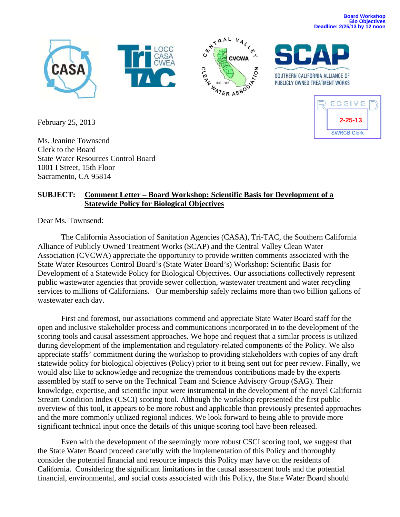



CEIVE **2-25-13SWRCB Clerk** 

February 25, 2013

Ms. Jeanine Townsend Clerk to the Board State Water Resources Control Board 1001 I Street, 15th Floor Sacramento, CA 95814

## **SUBJECT: Comment Letter – Board Workshop: Scientific Basis for Development of a Statewide Policy for Biological Objectives**

Dear Ms. Townsend:

The California Association of Sanitation Agencies (CASA), Tri-TAC, the Southern California Alliance of Publicly Owned Treatment Works (SCAP) and the Central Valley Clean Water Association (CVCWA) appreciate the opportunity to provide written comments associated with the State Water Resources Control Board's (State Water Board's) Workshop: Scientific Basis for Development of a Statewide Policy for Biological Objectives. Our associations collectively represent public wastewater agencies that provide sewer collection, wastewater treatment and water recycling services to millions of Californians. Our membership safely reclaims more than two billion gallons of wastewater each day.

First and foremost, our associations commend and appreciate State Water Board staff for the open and inclusive stakeholder process and communications incorporated in to the development of the scoring tools and causal assessment approaches. We hope and request that a similar process is utilized during development of the implementation and regulatory-related components of the Policy. We also appreciate staffs' commitment during the workshop to providing stakeholders with copies of any draft statewide policy for biological objectives (Policy) prior to it being sent out for peer review. Finally, we would also like to acknowledge and recognize the tremendous contributions made by the experts assembled by staff to serve on the Technical Team and Science Advisory Group (SAG). Their knowledge, expertise, and scientific input were instrumental in the development of the novel California Stream Condition Index (CSCI) scoring tool. Although the workshop represented the first public overview of this tool, it appears to be more robust and applicable than previously presented approaches and the more commonly utilized regional indices. We look forward to being able to provide more significant technical input once the details of this unique scoring tool have been released.

Even with the development of the seemingly more robust CSCI scoring tool, we suggest that the State Water Board proceed carefully with the implementation of this Policy and thoroughly consider the potential financial and resource impacts this Policy may have on the residents of California. Considering the significant limitations in the causal assessment tools and the potential financial, environmental, and social costs associated with this Policy, the State Water Board should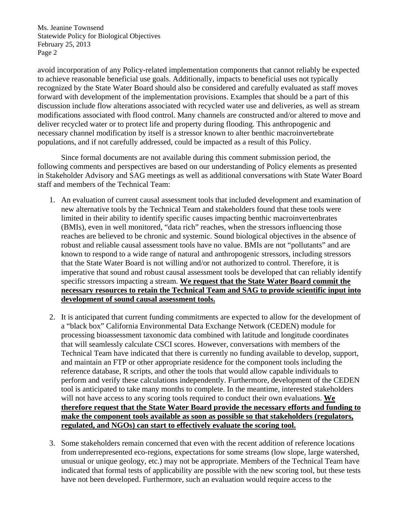avoid incorporation of any Policy-related implementation components that cannot reliably be expected to achieve reasonable beneficial use goals. Additionally, impacts to beneficial uses not typically recognized by the State Water Board should also be considered and carefully evaluated as staff moves forward with development of the implementation provisions. Examples that should be a part of this discussion include flow alterations associated with recycled water use and deliveries, as well as stream modifications associated with flood control. Many channels are constructed and/or altered to move and deliver recycled water or to protect life and property during flooding. This anthropogenic and necessary channel modification by itself is a stressor known to alter benthic macroinvertebrate populations, and if not carefully addressed, could be impacted as a result of this Policy.

Since formal documents are not available during this comment submission period, the following comments and perspectives are based on our understanding of Policy elements as presented in Stakeholder Advisory and SAG meetings as well as additional conversations with State Water Board staff and members of the Technical Team:

- 1. An evaluation of current causal assessment tools that included development and examination of new alternative tools by the Technical Team and stakeholders found that these tools were limited in their ability to identify specific causes impacting benthic macroinvertenbrates (BMIs), even in well monitored, "data rich" reaches, when the stressors influencing those reaches are believed to be chronic and systemic. Sound biological objectives in the absence of robust and reliable causal assessment tools have no value. BMIs are not "pollutants" and are known to respond to a wide range of natural and anthropogenic stressors, including stressors that the State Water Board is not willing and/or not authorized to control. Therefore, it is imperative that sound and robust causal assessment tools be developed that can reliably identify specific stressors impacting a stream. **We request that the State Water Board commit the necessary resources to retain the Technical Team and SAG to provide scientific input into development of sound causal assessment tools.**
- 2. It is anticipated that current funding commitments are expected to allow for the development of a "black box" California Environmental Data Exchange Network (CEDEN) module for processing bioassessment taxonomic data combined with latitude and longitude coordinates that will seamlessly calculate CSCI scores. However, conversations with members of the Technical Team have indicated that there is currently no funding available to develop, support, and maintain an FTP or other appropriate residence for the component tools including the reference database, R scripts, and other the tools that would allow capable individuals to perform and verify these calculations independently. Furthermore, development of the CEDEN tool is anticipated to take many months to complete. In the meantime, interested stakeholders will not have access to any scoring tools required to conduct their own evaluations. **We therefore request that the State Water Board provide the necessary efforts and funding to make the component tools available as soon as possible so that stakeholders (regulators, regulated, and NGOs) can start to effectively evaluate the scoring tool.**
- 3. Some stakeholders remain concerned that even with the recent addition of reference locations from underrepresented eco-regions, expectations for some streams (low slope, large watershed, unusual or unique geology, etc.) may not be appropriate. Members of the Technical Team have indicated that formal tests of applicability are possible with the new scoring tool, but these tests have not been developed. Furthermore, such an evaluation would require access to the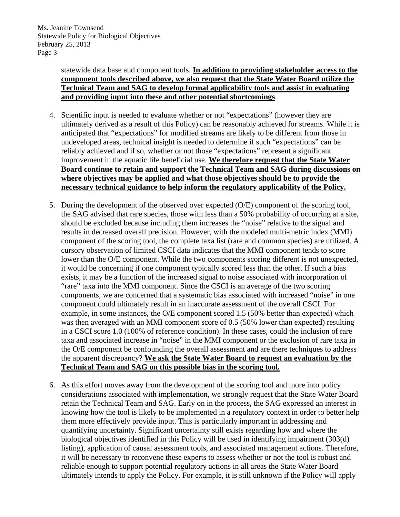statewide data base and component tools. **In addition to providing stakeholder access to the component tools described above, we also request that the State Water Board utilize the Technical Team and SAG to develop formal applicability tools and assist in evaluating and providing input into these and other potential shortcomings**.

- 4. Scientific input is needed to evaluate whether or not "expectations" (however they are ultimately derived as a result of this Policy) can be reasonably achieved for streams. While it is anticipated that "expectations" for modified streams are likely to be different from those in undeveloped areas, technical insight is needed to determine if such "expectations" can be reliably achieved and if so, whether or not those "expectations" represent a significant improvement in the aquatic life beneficial use. **We therefore request that the State Water Board continue to retain and support the Technical Team and SAG during discussions on where objectives may be applied and what those objectives should be to provide the necessary technical guidance to help inform the regulatory applicability of the Policy.**
- 5. During the development of the observed over expected (O/E) component of the scoring tool, the SAG advised that rare species, those with less than a 50% probability of occurring at a site, should be excluded because including them increases the "noise" relative to the signal and results in decreased overall precision. However, with the modeled multi-metric index (MMI) component of the scoring tool, the complete taxa list (rare and common species) are utilized. A cursory observation of limited CSCI data indicates that the MMI component tends to score lower than the O/E component. While the two components scoring different is not unexpected, it would be concerning if one component typically scored less than the other. If such a bias exists, it may be a function of the increased signal to noise associated with incorporation of "rare" taxa into the MMI component. Since the CSCI is an average of the two scoring components, we are concerned that a systematic bias associated with increased "noise" in one component could ultimately result in an inaccurate assessment of the overall CSCI. For example, in some instances, the O/E component scored 1.5 (50% better than expected) which was then averaged with an MMI component score of 0.5 (50% lower than expected) resulting in a CSCI score 1.0 (100% of reference condition). In these cases, could the inclusion of rare taxa and associated increase in "noise" in the MMI component or the exclusion of rare taxa in the O/E component be confounding the overall assessment and are there techniques to address the apparent discrepancy? **We ask the State Water Board to request an evaluation by the Technical Team and SAG on this possible bias in the scoring tool.**
- 6. As this effort moves away from the development of the scoring tool and more into policy considerations associated with implementation, we strongly request that the State Water Board retain the Technical Team and SAG. Early on in the process, the SAG expressed an interest in knowing how the tool is likely to be implemented in a regulatory context in order to better help them more effectively provide input. This is particularly important in addressing and quantifying uncertainty. Significant uncertainty still exists regarding how and where the biological objectives identified in this Policy will be used in identifying impairment (303(d) listing), application of causal assessment tools, and associated management actions. Therefore, it will be necessary to reconvene these experts to assess whether or not the tool is robust and reliable enough to support potential regulatory actions in all areas the State Water Board ultimately intends to apply the Policy. For example, it is still unknown if the Policy will apply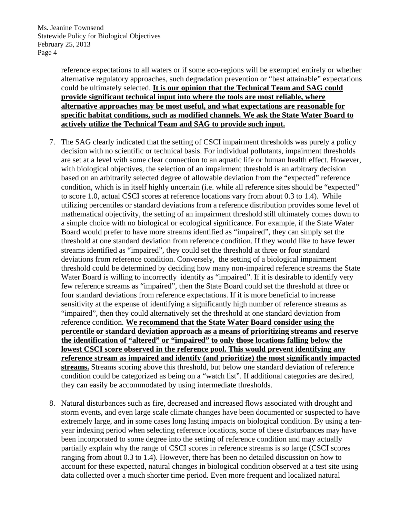reference expectations to all waters or if some eco-regions will be exempted entirely or whether alternative regulatory approaches, such degradation prevention or "best attainable" expectations could be ultimately selected. **It is our opinion that the Technical Team and SAG could provide significant technical input into where the tools are most reliable, where alternative approaches may be most useful, and what expectations are reasonable for specific habitat conditions, such as modified channels. We ask the State Water Board to actively utilize the Technical Team and SAG to provide such input.**

- 7. The SAG clearly indicated that the setting of CSCI impairment thresholds was purely a policy decision with no scientific or technical basis. For individual pollutants, impairment thresholds are set at a level with some clear connection to an aquatic life or human health effect. However, with biological objectives, the selection of an impairment threshold is an arbitrary decision based on an arbitrarily selected degree of allowable deviation from the "expected" reference condition, which is in itself highly uncertain (i.e. while all reference sites should be "expected" to score 1.0, actual CSCI scores at reference locations vary from about 0.3 to 1.4). While utilizing percentiles or standard deviations from a reference distribution provides some level of mathematical objectivity, the setting of an impairment threshold still ultimately comes down to a simple choice with no biological or ecological significance. For example, if the State Water Board would prefer to have more streams identified as "impaired", they can simply set the threshold at one standard deviation from reference condition. If they would like to have fewer streams identified as "impaired", they could set the threshold at three or four standard deviations from reference condition. Conversely, the setting of a biological impairment threshold could be determined by deciding how many non-impaired reference streams the State Water Board is willing to incorrectly identify as "impaired". If it is desirable to identify very few reference streams as "impaired", then the State Board could set the threshold at three or four standard deviations from reference expectations. If it is more beneficial to increase sensitivity at the expense of identifying a significantly high number of reference streams as "impaired", then they could alternatively set the threshold at one standard deviation from reference condition. **We recommend that the State Water Board consider using the percentile or standard deviation approach as a means of prioritizing streams and reserve the identification of "altered" or "impaired" to only those locations falling below the lowest CSCI score observed in the reference pool. This would prevent identifying any reference stream as impaired and identify (and prioritize) the most significantly impacted streams.** Streams scoring above this threshold, but below one standard deviation of reference condition could be categorized as being on a "watch list". If additional categories are desired, they can easily be accommodated by using intermediate thresholds.
- 8. Natural disturbances such as fire, decreased and increased flows associated with drought and storm events, and even large scale climate changes have been documented or suspected to have extremely large, and in some cases long lasting impacts on biological condition. By using a tenyear indexing period when selecting reference locations, some of these disturbances may have been incorporated to some degree into the setting of reference condition and may actually partially explain why the range of CSCI scores in reference streams is so large (CSCI scores ranging from about 0.3 to 1.4). However, there has been no detailed discussion on how to account for these expected, natural changes in biological condition observed at a test site using data collected over a much shorter time period. Even more frequent and localized natural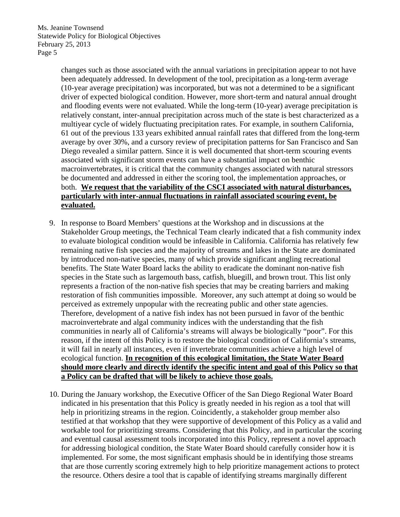> changes such as those associated with the annual variations in precipitation appear to not have been adequately addressed. In development of the tool, precipitation as a long-term average (10-year average precipitation) was incorporated, but was not a determined to be a significant driver of expected biological condition. However, more short-term and natural annual drought and flooding events were not evaluated. While the long-term (10-year) average precipitation is relatively constant, inter-annual precipitation across much of the state is best characterized as a multiyear cycle of widely fluctuating precipitation rates. For example, in southern California, 61 out of the previous 133 years exhibited annual rainfall rates that differed from the long-term average by over 30%, and a cursory review of precipitation patterns for San Francisco and San Diego revealed a similar pattern. Since it is well documented that short-term scouring events associated with significant storm events can have a substantial impact on benthic macroinvertebrates, it is critical that the community changes associated with natural stressors be documented and addressed in either the scoring tool, the implementation approaches, or both. **We request that the variability of the CSCI associated with natural disturbances, particularly with inter-annual fluctuations in rainfall associated scouring event, be evaluated.**

- 9. In response to Board Members' questions at the Workshop and in discussions at the Stakeholder Group meetings, the Technical Team clearly indicated that a fish community index to evaluate biological condition would be infeasible in California. California has relatively few remaining native fish species and the majority of streams and lakes in the State are dominated by introduced non-native species, many of which provide significant angling recreational benefits. The State Water Board lacks the ability to eradicate the dominant non-native fish species in the State such as largemouth bass, catfish, bluegill, and brown trout. This list only represents a fraction of the non-native fish species that may be creating barriers and making restoration of fish communities impossible. Moreover, any such attempt at doing so would be perceived as extremely unpopular with the recreating public and other state agencies. Therefore, development of a native fish index has not been pursued in favor of the benthic macroinvertebrate and algal community indices with the understanding that the fish communities in nearly all of California's streams will always be biologically "poor". For this reason, if the intent of this Policy is to restore the biological condition of California's streams, it will fail in nearly all instances, even if invertebrate communities achieve a high level of ecological function. **In recognition of this ecological limitation, the State Water Board should more clearly and directly identify the specific intent and goal of this Policy so that a Policy can be drafted that will be likely to achieve those goals.**
- 10. During the January workshop, the Executive Officer of the San Diego Regional Water Board indicated in his presentation that this Policy is greatly needed in his region as a tool that will help in prioritizing streams in the region. Coincidently, a stakeholder group member also testified at that workshop that they were supportive of development of this Policy as a valid and workable tool for prioritizing streams. Considering that this Policy, and in particular the scoring and eventual causal assessment tools incorporated into this Policy, represent a novel approach for addressing biological condition, the State Water Board should carefully consider how it is implemented. For some, the most significant emphasis should be in identifying those streams that are those currently scoring extremely high to help prioritize management actions to protect the resource. Others desire a tool that is capable of identifying streams marginally different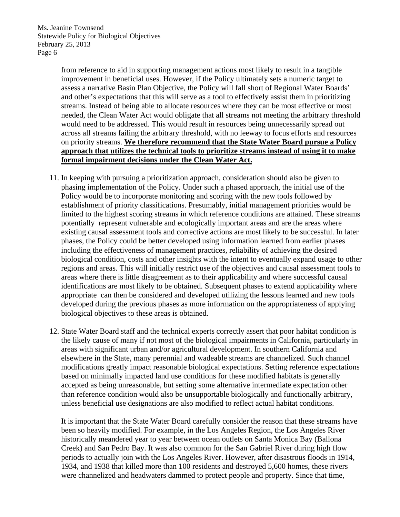> from reference to aid in supporting management actions most likely to result in a tangible improvement in beneficial uses. However, if the Policy ultimately sets a numeric target to assess a narrative Basin Plan Objective, the Policy will fall short of Regional Water Boards' and other's expectations that this will serve as a tool to effectively assist them in prioritizing streams. Instead of being able to allocate resources where they can be most effective or most needed, the Clean Water Act would obligate that all streams not meeting the arbitrary threshold would need to be addressed. This would result in resources being unnecessarily spread out across all streams failing the arbitrary threshold, with no leeway to focus efforts and resources on priority streams. **We therefore recommend that the State Water Board pursue a Policy approach that utilizes the technical tools to prioritize streams instead of using it to make formal impairment decisions under the Clean Water Act.**

- 11. In keeping with pursuing a prioritization approach, consideration should also be given to phasing implementation of the Policy. Under such a phased approach, the initial use of the Policy would be to incorporate monitoring and scoring with the new tools followed by establishment of priority classifications. Presumably, initial management priorities would be limited to the highest scoring streams in which reference conditions are attained. These streams potentially represent vulnerable and ecologically important areas and are the areas where existing causal assessment tools and corrective actions are most likely to be successful. In later phases, the Policy could be better developed using information learned from earlier phases including the effectiveness of management practices, reliability of achieving the desired biological condition, costs and other insights with the intent to eventually expand usage to other regions and areas. This will initially restrict use of the objectives and causal assessment tools to areas where there is little disagreement as to their applicability and where successful causal identifications are most likely to be obtained. Subsequent phases to extend applicability where appropriate can then be considered and developed utilizing the lessons learned and new tools developed during the previous phases as more information on the appropriateness of applying biological objectives to these areas is obtained.
- 12. State Water Board staff and the technical experts correctly assert that poor habitat condition is the likely cause of many if not most of the biological impairments in California, particularly in areas with significant urban and/or agricultural development. In southern California and elsewhere in the State, many perennial and wadeable streams are channelized. Such channel modifications greatly impact reasonable biological expectations. Setting reference expectations based on minimally impacted land use conditions for these modified habitats is generally accepted as being unreasonable, but setting some alternative intermediate expectation other than reference condition would also be unsupportable biologically and functionally arbitrary, unless beneficial use designations are also modified to reflect actual habitat conditions.

It is important that the State Water Board carefully consider the reason that these streams have been so heavily modified. For example, in the Los Angeles Region, the Los Angeles River historically meandered year to year between ocean outlets on Santa Monica Bay (Ballona Creek) and San Pedro Bay. It was also common for the San Gabriel River during high flow periods to actually join with the Los Angeles River. However, after disastrous floods in 1914, 1934, and 1938 that killed more than 100 residents and destroyed 5,600 homes, these rivers were channelized and headwaters dammed to protect people and property. Since that time,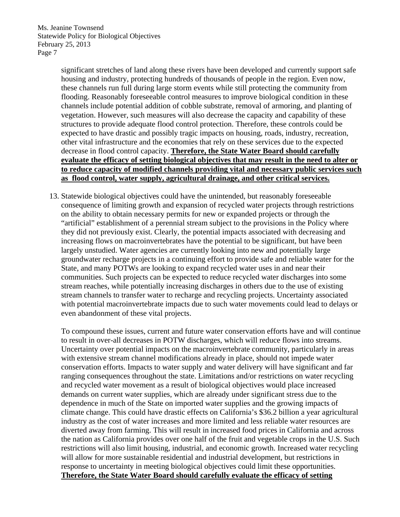> significant stretches of land along these rivers have been developed and currently support safe housing and industry, protecting hundreds of thousands of people in the region. Even now, these channels run full during large storm events while still protecting the community from flooding. Reasonably foreseeable control measures to improve biological condition in these channels include potential addition of cobble substrate, removal of armoring, and planting of vegetation. However, such measures will also decrease the capacity and capability of these structures to provide adequate flood control protection. Therefore, these controls could be expected to have drastic and possibly tragic impacts on housing, roads, industry, recreation, other vital infrastructure and the economies that rely on these services due to the expected decrease in flood control capacity. **Therefore, the State Water Board should carefully evaluate the efficacy of setting biological objectives that may result in the need to alter or to reduce capacity of modified channels providing vital and necessary public services such as flood control, water supply, agricultural drainage, and other critical services.**

13. Statewide biological objectives could have the unintended, but reasonably foreseeable consequence of limiting growth and expansion of recycled water projects through restrictions on the ability to obtain necessary permits for new or expanded projects or through the "artificial" establishment of a perennial stream subject to the provisions in the Policy where they did not previously exist. Clearly, the potential impacts associated with decreasing and increasing flows on macroinvertebrates have the potential to be significant, but have been largely unstudied. Water agencies are currently looking into new and potentially large groundwater recharge projects in a continuing effort to provide safe and reliable water for the State, and many POTWs are looking to expand recycled water uses in and near their communities. Such projects can be expected to reduce recycled water discharges into some stream reaches, while potentially increasing discharges in others due to the use of existing stream channels to transfer water to recharge and recycling projects. Uncertainty associated with potential macroinvertebrate impacts due to such water movements could lead to delays or even abandonment of these vital projects.

To compound these issues, current and future water conservation efforts have and will continue to result in over-all decreases in POTW discharges, which will reduce flows into streams. Uncertainty over potential impacts on the macroinvertebrate community, particularly in areas with extensive stream channel modifications already in place, should not impede water conservation efforts. Impacts to water supply and water delivery will have significant and far ranging consequences throughout the state. Limitations and/or restrictions on water recycling and recycled water movement as a result of biological objectives would place increased demands on current water supplies, which are already under significant stress due to the dependence in much of the State on imported water supplies and the growing impacts of climate change. This could have drastic effects on California's \$36.2 billion a year agricultural industry as the cost of water increases and more limited and less reliable water resources are diverted away from farming. This will result in increased food prices in California and across the nation as California provides over one half of the fruit and vegetable crops in the U.S. Such restrictions will also limit housing, industrial, and economic growth. Increased water recycling will allow for more sustainable residential and industrial development, but restrictions in response to uncertainty in meeting biological objectives could limit these opportunities. **Therefore, the State Water Board should carefully evaluate the efficacy of setting**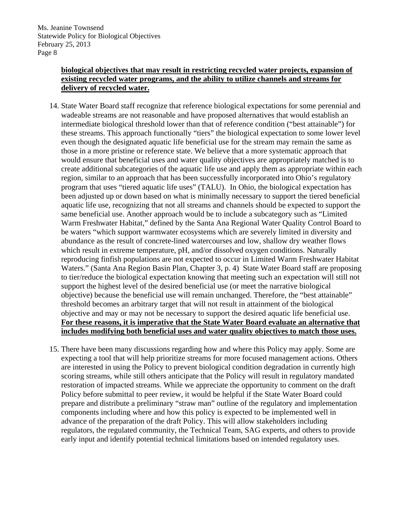## **biological objectives that may result in restricting recycled water projects, expansion of existing recycled water programs, and the ability to utilize channels and streams for delivery of recycled water.**

- 14. State Water Board staff recognize that reference biological expectations for some perennial and wadeable streams are not reasonable and have proposed alternatives that would establish an intermediate biological threshold lower than that of reference condition ("best attainable") for these streams. This approach functionally "tiers" the biological expectation to some lower level even though the designated aquatic life beneficial use for the stream may remain the same as those in a more pristine or reference state. We believe that a more systematic approach that would ensure that beneficial uses and water quality objectives are appropriately matched is to create additional subcategories of the aquatic life use and apply them as appropriate within each region, similar to an approach that has been successfully incorporated into Ohio's regulatory program that uses "tiered aquatic life uses" (TALU). In Ohio, the biological expectation has been adjusted up or down based on what is minimally necessary to support the tiered beneficial aquatic life use, recognizing that not all streams and channels should be expected to support the same beneficial use. Another approach would be to include a subcategory such as "Limited Warm Freshwater Habitat," defined by the Santa Ana Regional Water Quality Control Board to be waters "which support warmwater ecosystems which are severely limited in diversity and abundance as the result of concrete-lined watercourses and low, shallow dry weather flows which result in extreme temperature, pH, and/or dissolved oxygen conditions. Naturally reproducing finfish populations are not expected to occur in Limited Warm Freshwater Habitat Waters." (Santa Ana Region Basin Plan, Chapter 3, p. 4) State Water Board staff are proposing to tier/reduce the biological expectation knowing that meeting such an expectation will still not support the highest level of the desired beneficial use (or meet the narrative biological objective) because the beneficial use will remain unchanged. Therefore, the "best attainable" threshold becomes an arbitrary target that will not result in attainment of the biological objective and may or may not be necessary to support the desired aquatic life beneficial use. **For these reasons, it is imperative that the State Water Board evaluate an alternative that includes modifying both beneficial uses and water quality objectives to match those uses.**
- 15. There have been many discussions regarding how and where this Policy may apply. Some are expecting a tool that will help prioritize streams for more focused management actions. Others are interested in using the Policy to prevent biological condition degradation in currently high scoring streams, while still others anticipate that the Policy will result in regulatory mandated restoration of impacted streams. While we appreciate the opportunity to comment on the draft Policy before submittal to peer review, it would be helpful if the State Water Board could prepare and distribute a preliminary "straw man" outline of the regulatory and implementation components including where and how this policy is expected to be implemented well in advance of the preparation of the draft Policy. This will allow stakeholders including regulators, the regulated community, the Technical Team, SAG experts, and others to provide early input and identify potential technical limitations based on intended regulatory uses.